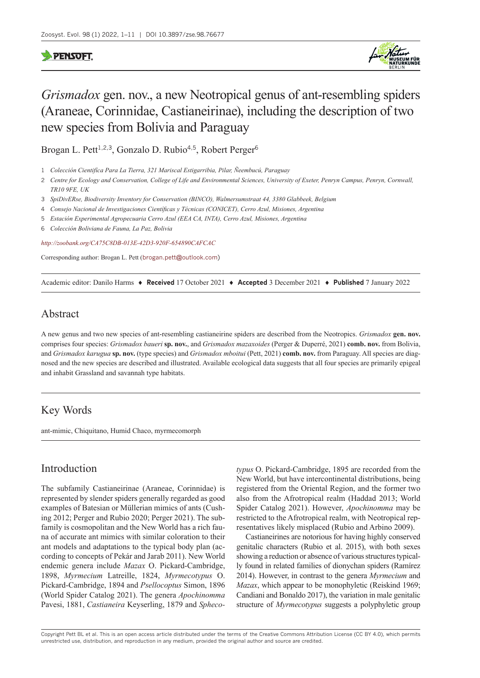### **PENSOFT**



# *Grismadox* gen. nov., a new Neotropical genus of ant-resembling spiders (Araneae, Corinnidae, Castianeirinae), including the description of two new species from Bolivia and Paraguay

Brogan L. Pett<sup>1,2,3</sup>, Gonzalo D. Rubio<sup>4,5</sup>, Robert Perger<sup>6</sup>

- 2 *Centre for Ecology and Conservation, College of Life and Environmental Sciences, University of Exeter, Penryn Campus, Penryn, Cornwall, TR10 9FE, UK*
- 3 *SpiDivERse, Biodiversity Inventory for Conservation (BINCO), Walmersumstraat 44, 3380 Glabbeek, Belgium*
- 4 *Consejo Nacional de Investigaciones Científicas y Técnicas (CONICET), Cerro Azul, Misiones, Argentina*
- 5 *Estación Experimental Agropecuaria Cerro Azul (EEA CA, INTA), Cerro Azul, Misiones, Argentina*
- 6 *Colección Boliviana de Fauna, La Paz, Bolivia*

*<http://zoobank.org/CA75C8DB-013E-42D3-920F-654890CAFCAC>*

Corresponding author: Brogan L. Pett ([brogan.pett@outlook.com\)](mailto:brogan.pett@outlook.com)

Academic editor: Danilo Harms ♦ **Received** 17 October 2021 ♦ **Accepted** 3 December 2021 ♦ **Published** 7 January 2022

## Abstract

A new genus and two new species of ant-resembling castianeirine spiders are described from the Neotropics. *Grismadox* **gen. nov.** comprises four species: *Grismadox baueri* **sp. nov.**, and *Grismadox mazaxoides* (Perger & Duperré, 2021) **comb. nov.** from Bolivia, and *Grismadox karugua* **sp. nov.** (type species) and *Grismadox mboitui* (Pett, 2021) **comb. nov.** from Paraguay. All species are diagnosed and the new species are described and illustrated. Available ecological data suggests that all four species are primarily epigeal and inhabit Grassland and savannah type habitats.

# Key Words

ant-mimic, Chiquitano, Humid Chaco, myrmecomorph

## Introduction

The subfamily Castianeirinae (Araneae, Corinnidae) is represented by slender spiders generally regarded as good examples of Batesian or Müllerian mimics of ants (Cushing 2012; Perger and Rubio 2020; Perger 2021). The subfamily is cosmopolitan and the New World has a rich fauna of accurate ant mimics with similar coloration to their ant models and adaptations to the typical body plan (according to concepts of Pekár and Jarab 2011). New World endemic genera include *Mazax* O. Pickard-Cambridge, 1898, *Myrmecium* Latreille, 1824, *Myrmecotypus* O. Pickard-Cambridge, 1894 and *Psellocoptus* Simon, 1896 (World Spider Catalog 2021). The genera *Apochinomma* Pavesi, 1881, *Castianeira* Keyserling, 1879 and *Spheco-*

*typus* O. Pickard-Cambridge, 1895 are recorded from the New World, but have intercontinental distributions, being registered from the Oriental Region, and the former two also from the Afrotropical realm (Haddad 2013; World Spider Catalog 2021). However, *Apochinomma* may be restricted to the Afrotropical realm, with Neotropical representatives likely misplaced (Rubio and Arbino 2009).

Castianeirines are notorious for having highly conserved genitalic characters (Rubio et al. 2015), with both sexes showing a reduction or absence of various structures typically found in related families of dionychan spiders (Ramírez 2014). However, in contrast to the genera *Myrmecium* and *Mazax*, which appear to be monophyletic (Reiskind 1969; Candiani and Bonaldo 2017), the variation in male genitalic structure of *Myrmecotypus* suggests a polyphyletic group

Copyright Pett BL et al. This is an open access article distributed under the terms of the [Creative Commons Attribution License \(CC BY 4.0\),](http://creativecommons.org/licenses/by/4.0/) which permits unrestricted use, distribution, and reproduction in any medium, provided the original author and source are credited.

<sup>1</sup> *Colección Cientifíca Para La Tierra, 321 Mariscal Estigarribia, Pilar, Ñeembucú, Paraguay*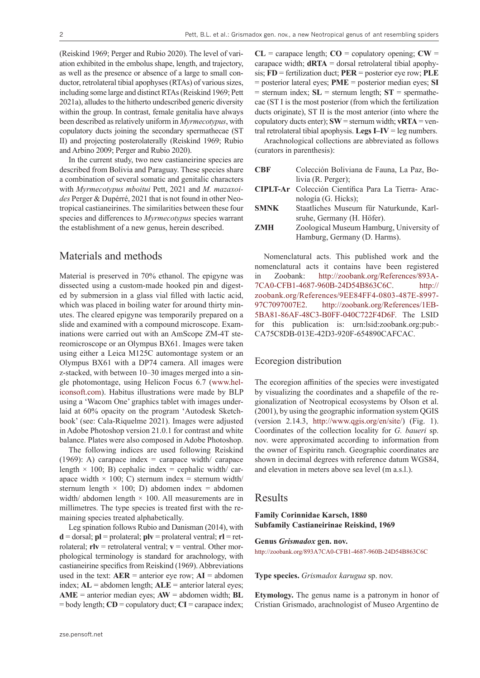(Reiskind 1969; Perger and Rubio 2020). The level of variation exhibited in the embolus shape, length, and trajectory, as well as the presence or absence of a large to small conductor, retrolateral tibial apophyses (RTAs) of various sizes, including some large and distinct RTAs (Reiskind 1969; Pett 2021a), alludes to the hitherto undescribed generic diversity within the group. In contrast, female genitalia have always been described as relatively uniform in *Myrmecotypus*, with copulatory ducts joining the secondary spermathecae (ST II) and projecting posterolaterally (Reiskind 1969; Rubio and Arbino 2009; Perger and Rubio 2020).

In the current study, two new castianeirine species are described from Bolivia and Paraguay. These species share a combination of several somatic and genitalic characters with *Myrmecotypus mboitui* Pett, 2021 and *M. mazaxoides* Perger & Dupérré, 2021 that is not found in other Neotropical castianeirines. The similarities between these four species and differences to *Myrmecotypus* species warrant the establishment of a new genus, herein described.

### Materials and methods

Material is preserved in 70% ethanol. The epigyne was dissected using a custom-made hooked pin and digested by submersion in a glass vial filled with lactic acid, which was placed in boiling water for around thirty minutes. The cleared epigyne was temporarily prepared on a slide and examined with a compound microscope. Examinations were carried out with an AmScope ZM-4T stereomicroscope or an Olympus BX61. Images were taken using either a Leica M125C automontage system or an Olympus BX61 with a DP74 camera. All images were z-stacked, with between 10–30 images merged into a single photomontage, using Helicon Focus 6.7 (www.heliconsoft.com). Habitus illustrations were made by BLP using a 'Wacom One' graphics tablet with images underlaid at 60% opacity on the program 'Autodesk Sketchbook' (see: Cala-Riquelme 2021). Images were adjusted in Adobe Photoshop version 21.0.1 for contrast and white balance. Plates were also composed in Adobe Photoshop.

The following indices are used following Reiskind (1969): A) carapace index = carapace width/ carapace length  $\times$  100; B) cephalic index = cephalic width/ carapace width  $\times$  100; C) sternum index = sternum width/ sternum length  $\times$  100; D) abdomen index = abdomen width/ abdomen length  $\times$  100. All measurements are in millimetres. The type species is treated first with the remaining species treated alphabetically.

Leg spination follows Rubio and Danisman (2014), with **d** = dorsal; **pl** = prolateral; **plv** = prolateral ventral; **rl** = retrolateral;  $r\mathbf{I}v =$  retrolateral ventral;  $v =$  ventral. Other morphological terminology is standard for arachnology, with castianeirine specifics from Reiskind (1969). Abbreviations used in the text:  $AER$  = anterior eye row;  $AI$  = abdomen index; **AL** = abdomen length; **ALE** = anterior lateral eyes; **AME** = anterior median eyes; **AW** = abdomen width; **BL** = body length; **CD** = copulatory duct; **CI** = carapace index;

 $CL =$  carapace length;  $CO =$  copulatory opening;  $CW =$ carapace width;  $dRTA =$  dorsal retrolateral tibial apophysis; **FD** = fertilization duct; **PER** = posterior eye row; **PLE** = posterior lateral eyes; **PME** = posterior median eyes; **SI**  $=$  sternum index;  $SL =$  sternum length;  $ST =$  spermathecae (ST I is the most posterior (from which the fertilization ducts originate), ST II is the most anterior (into where the copulatory ducts enter);  $\text{SW} = \text{sternum width}$ ;  $\text{vRTA} = \text{ven} - \text{SRTA}$ tral retrolateral tibial apophysis. **Legs I–IV** = leg numbers.

Arachnological collections are abbreviated as follows (curators in parenthesis):

| <b>CRF</b>  | Colección Boliviana de Fauna, La Paz, Bo-                                |  |
|-------------|--------------------------------------------------------------------------|--|
|             | livia (R. Perger);                                                       |  |
|             | CIPLT-Ar Colección Científica Para La Tierra-Arac-                       |  |
|             | nología (G. Hicks);                                                      |  |
| <b>SMNK</b> | Staatliches Museum für Naturkunde, Karl-                                 |  |
|             | sruhe, Germany (H. Höfer).                                               |  |
| <b>ZMH</b>  | Zoological Museum Hamburg, University of<br>Hamburg, Germany (D. Harms). |  |
|             |                                                                          |  |
|             |                                                                          |  |

Nomenclatural acts. This published work and the nomenclatural acts it contains have been registered in Zoobank: [http://zoobank.org/References/893A-](http://zoobank.org/References/893A7CA0-CFB1-4687-960B-24D54B863C6C)[7CA0-CFB1-4687-960B-24D54B863C6C](http://zoobank.org/References/893A7CA0-CFB1-4687-960B-24D54B863C6C). [http://](http://zoobank.org/References/9EE84FF4-0803-487E-8997-97C7097007E2) [zoobank.org/References/9EE84FF4-0803-487E-8997-](http://zoobank.org/References/9EE84FF4-0803-487E-8997-97C7097007E2) [97C7097007E2.](http://zoobank.org/References/9EE84FF4-0803-487E-8997-97C7097007E2) [http://zoobank.org/References/1EB-](http://zoobank.org/References/1EB5BA81-86AF-48C3-B0FF-040C722F4D6F)[5BA81-86AF-48C3-B0FF-040C722F4D6F.](http://zoobank.org/References/1EB5BA81-86AF-48C3-B0FF-040C722F4D6F) The LSID for this publication is: urn:lsid:zoobank.org:pub:- CA75C8DB-013E-42D3-920F-654890CAFCAC.

#### Ecoregion distribution

The ecoregion affinities of the species were investigated by visualizing the coordinates and a shapefile of the regionalization of Neotropical ecosystems by Olson et al. (2001), by using the geographic information system QGIS (version 2.14.3, [http://www.qgis.org/en/site/\)](http://www.qgis.org/en/site/) (Fig. 1). Coordinates of the collection locality for *G. baueri* sp. nov. were approximated according to information from the owner of Espiritu ranch. Geographic coordinates are shown in decimal degrees with reference datum WGS84, and elevation in meters above sea level (m a.s.l.).

### Results

### **Family Corinnidae Karsch, 1880 Subfamily Castianeirinae Reiskind, 1969**

**Genus** *Grismadox* **gen. nov.** <http://zoobank.org/893A7CA0-CFB1-4687-960B-24D54B863C6C>

#### **Type species.** *Grismadox karugua* sp. nov.

**Etymology.** The genus name is a patronym in honor of Cristian Grismado, arachnologist of Museo Argentino de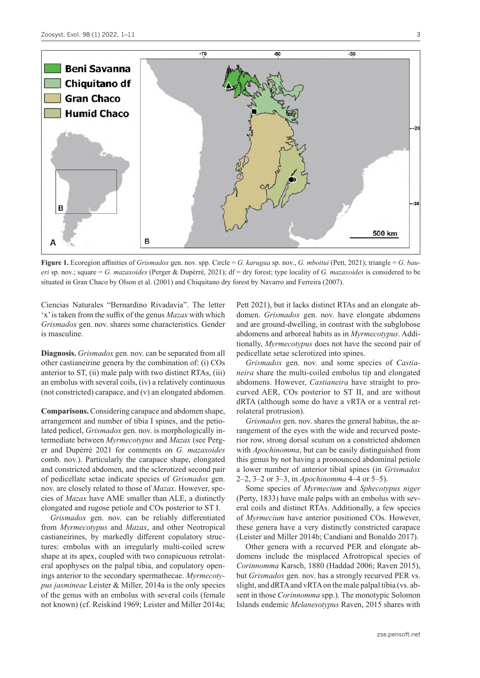

**Figure 1.** Ecoregion affinities of *Grismadox* gen. nov. spp. Circle = *G. karugua* sp. nov., *G. mboitui* (Pett, 2021); triangle = *G. baueri* sp. nov.; square = *G. mazaxoides* (Perger & Dupérré, 2021); df = dry forest; type locality of *G. mazaxoides* is considered to be situated in Gran Chaco by Olson et al. (2001) and Chiquitano dry forest by Navarro and Ferreira (2007).

Ciencias Naturales "Bernardino Rivadavia". The letter 'x' is taken from the suffix of the genus *Mazax* with which *Grismadox* gen. nov. shares some characteristics. Gender is masculine.

**Diagnosis.** *Grismadox* gen. nov. can be separated from all other castianeirine genera by the combination of: (i) COs anterior to ST, (ii) male palp with two distinct RTAs, (iii) an embolus with several coils, (iv) a relatively continuous (not constricted) carapace, and (v) an elongated abdomen.

**Comparisons.** Considering carapace and abdomen shape, arrangement and number of tibia I spines, and the petiolated pedicel, *Grismadox* gen. nov. is morphologically intermediate between *Myrmecotypus* and *Mazax* (see Perger and Dupérré 2021 for comments on *G. mazaxoides* comb. nov.). Particularly the carapace shape, elongated and constricted abdomen, and the sclerotized second pair of pedicellate setae indicate species of *Grismadox* gen. nov. are closely related to those of *Mazax*. However, species of *Mazax* have AME smaller than ALE, a distinctly elongated and rugose petiole and COs posterior to ST I.

*Grismadox* gen. nov. can be reliably differentiated from *Myrmecotypus* and *Mazax*, and other Neotropical castianeirines, by markedly different copulatory structures: embolus with an irregularly multi-coiled screw shape at its apex, coupled with two conspicuous retrolateral apophyses on the palpal tibia, and copulatory openings anterior to the secondary spermathecae. *Myrmecotypus jasmineae* Leister & Miller, 2014a is the only species of the genus with an embolus with several coils (female not known) (cf. Reiskind 1969; Leister and Miller 2014a; Pett 2021), but it lacks distinct RTAs and an elongate abdomen. *Grismadox* gen. nov. have elongate abdomens and are ground-dwelling, in contrast with the subglobose abdomens and arboreal habits as in *Myrmecotypus*. Additionally, *Myrmecotypus* does not have the second pair of pedicellate setae sclerotized into spines.

*Grismadox* gen. nov. and some species of *Castianeira* share the multi-coiled embolus tip and elongated abdomens. However, *Castianeira* have straight to procurved AER, COs posterior to ST II, and are without dRTA (although some do have a vRTA or a ventral retrolateral protrusion).

*Grismadox* gen. nov. shares the general habitus, the arrangement of the eyes with the wide and recurved posterior row, strong dorsal scutum on a constricted abdomen with *Apochinomma*, but can be easily distinguished from this genus by not having a pronounced abdominal petiole a lower number of anterior tibial spines (in *Grismadox*  2–2, 3–2 or 3–3, in *Apochinomma* 4–4 or 5–5).

Some species of *Myrmecium* and *Sphecotypus niger* (Perty, 1833) have male palps with an embolus with several coils and distinct RTAs. Additionally, a few species of *Myrmecium* have anterior positioned COs. However, these genera have a very distinctly constricted carapace (Leister and Miller 2014b; Candiani and Bonaldo 2017).

Other genera with a recurved PER and elongate abdomens include the misplaced Afrotropical species of *Corinnomma* Karsch, 1880 (Haddad 2006; Raven 2015), but *Grismadox* gen. nov. has a strongly recurved PER vs. slight, and dRTA and vRTA on the male palpal tibia (vs. absent in those *Corinnomma* spp.). The monotypic Solomon Islands endemic *Melanesotypus* Raven, 2015 shares with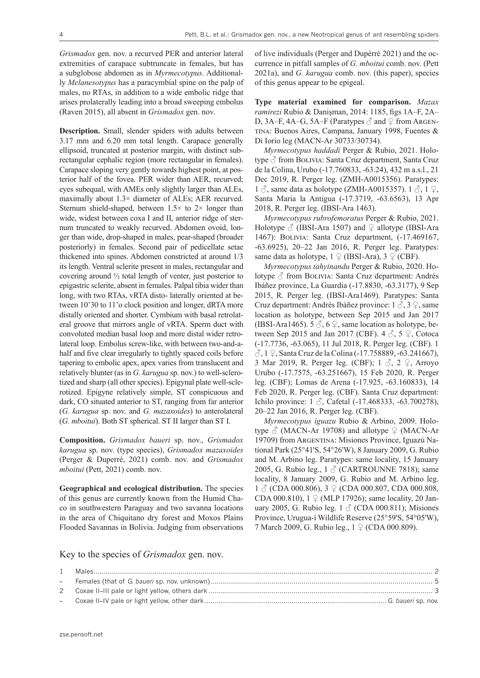*Grismadox* gen. nov. a recurved PER and anterior lateral extremities of carapace subtruncate in females, but has a subglobose abdomen as in *Myrmecotypus*. Additionally *Melanesotypus* has a paracymbial spine on the palp of males, no RTAs, in addition to a wide embolic ridge that arises prolaterally leading into a broad sweeping embolus (Raven 2015), all absent in *Grismadox* gen. nov.

**Description.** Small, slender spiders with adults between 3.17 mm and 6.20 mm total length. Carapace generally ellipsoid, truncated at posterior margin, with distinct subrectangular cephalic region (more rectangular in females). Carapace sloping very gently towards highest point, at posterior half of the fovea. PER wider than AER, recurved; eyes subequal, with AMEs only slightly larger than ALEs, maximally about 1.3× diameter of ALEs; AER recurved. Sternum shield-shaped, between  $1.5\times$  to  $2\times$  longer than wide, widest between coxa I and II, anterior ridge of sternum truncated to weakly recurved. Abdomen ovoid, longer than wide, drop-shaped in males, pear-shaped (broader posteriorly) in females. Second pair of pedicellate setae thickened into spines. Abdomen constricted at around 1/3 its length. Ventral sclerite present in males, rectangular and covering around ½ total length of venter, just posterior to epigastric sclerite, absent in females. Palpal tibia wider than long, with two RTAs, vRTA disto- laterally oriented at between 10'30 to 11'o clock position and longer, dRTA more distally oriented and shorter. Cymbium with basal retrolateral groove that mirrors angle of vRTA. Sperm duct with convoluted median basal loop and more distal wider retrolateral loop. Embolus screw-like, with between two-and-ahalf and five clear irregularly to tightly spaced coils before tapering to embolic apex, apex varies from translucent and relatively blunter (as in *G. karugua* sp. nov.) to well-sclerotized and sharp (all other species). Epigynal plate well-sclerotized. Epigyne relatively simple, ST conspicuous and dark, CO situated anterior to ST, ranging from far anterior (*G. karugua* sp. nov. and *G. mazaxoides*) to anterolateral (*G. mboitui*). Both ST spherical. ST II larger than ST I.

**Composition.** *Grismadox baueri* sp. nov., *Grismadox karugua* sp. nov. (type species), *Grismadox mazaxoides* (Perger & Duperré, 2021) comb. nov. and *Grismadox mboitui* (Pett, 2021) comb. nov.

**Geographical and ecological distribution.** The species of this genus are currently known from the Humid Chaco in southwestern Paraguay and two savanna locations in the area of Chiquitano dry forest and Moxos Plains Flooded Savannas in Bolivia. Judging from observations of live individuals (Perger and Dupérré 2021) and the occurrence in pitfall samples of *G. mboitui* comb. nov. (Pett 2021a), and *G. karugua* comb. nov. (this paper), species of this genus appear to be epigeal.

**Type material examined for comparison.** *Mazax ramirezi* Rubio & Danişman, 2014: 1185, figs 1A–F, 2A– D, 3A–F, 4A–G, 5A–F (Paratypes  $\partial$  and  $\partial$  from Argentina: Buenos Aires, Campana, January 1998, Fuentes & Di Iorio leg (MACN-Ar 30733/30734).

*Myrmecotypus haddadi* Perger & Rubio, 2021. Holotype  $\beta$  from BOLIVIA: Santa Cruz department, Santa Cruz de la Colina, Urubo (-17.760833, -63.24), 432 m a.s.l., 21 Dec 2019, R. Perger leg. (ZMH-A0015356). Paratypes: 1  $\Diamond$ , same data as holotype (ZMH-A0015357). 1  $\Diamond$ , 1  $\Diamond$ , Santa Maria la Antigua (-17.3719, -63.6563), 13 Apr 2018, R. Perger leg. (IBSI-Ara 1463).

*Myrmecotypus rubrofemoratus* Perger & Rubio, 2021. Holotype  $\beta$  (IBSI-Ara 1507) and  $\Omega$  allotype (IBSI-Ara 1467): Bolivia: Santa Cruz department, (-17.469167, -63.6925), 20–22 Jan 2016, R. Perger leg. Paratypes: same data as holotype,  $1 \nsubseteq (IBSI-Ara), 3 \nsubseteq (CBF)$ .

*Myrmecotypus tahyinandu* Perger & Rubio, 2020. Holotype ♂ from BOLIVIA: Santa Cruz department: Andrés Ibáñez province, La Guardia (-17.8830, -63.3177), 9 Sep 2015, R. Perger leg. (IBSI-Ara1469). Paratypes: Santa Cruz department: Andrés Ibáñez province:  $1 \land 3 \lor 5$ , same location as holotype, between Sep 2015 and Jan 2017 (IBSI-Ara1465). 5  $\Diamond$ , 6  $\Diamond$ , same location as holotype, between Sep 2015 and Jan 2017 (CBF). 4  $\Diamond$ , 5  $\Diamond$ , Cotoca (-17.7736, -63.065), 11 Jul 2018, R. Perger leg. (CBF). 1  $\sqrt{3}$ , 1  $\sqrt{2}$ , Santa Cruz de la Colina (-17.758889, -63.241667), 3 Mar 2019, R. Perger leg. (CBF);  $1 \text{ } \mathcal{S}$ ,  $2 \text{ } \mathcal{Q}$ , Arroyo Urubo (-17.7575, -63.251667), 15 Feb 2020, R. Perger leg. (CBF); Lomas de Arena (-17.925, -63.160833), 14 Feb 2020, R. Perger leg. (CBF). Santa Cruz department: Ichilo province:  $1 \text{ } \overset{\triangle}{\circ}$ , Cafetal (-17.468333, -63.700278), 20–22 Jan 2016, R. Perger leg. (CBF).

*Myrmecotypus iguazu* Rubio & Arbino, 2009. Holotype  $\delta$  (MACN-Ar 19708) and allotype  $\Omega$  (MACN-Ar 19709) from Argentina: Misiones Province, Iguazú National Park (25°41'S, 54°26'W), 8 January 2009, G. Rubio and M. Arbino leg. Paratypes: same locality, 15 January 2005, G. Rubio leg.,  $1 \text{ } \textcircled{}$  (CARTROUNNE 7818); same locality, 8 January 2009, G. Rubio and M. Arbino leg.  $1 \text{ } \textcircled{}$  (CDA 000.806),  $3 \text{ } \textcircled{}$  (CDA 000.807, CDA 000.808, CDA 000.810),  $1 \nsubseteq (MLP 17926)$ ; same locality, 20 January 2005, G. Rubio leg. 1  $\circled{}$  (CDA 000.811); Misiones Province, Urugua-í Wildlife Reserve (25°59'S, 54°05'W), 7 March 2009, G. Rubio leg., 1 ♀ (CDA 000.809).

Key to the species of *Grismadox* gen. nov.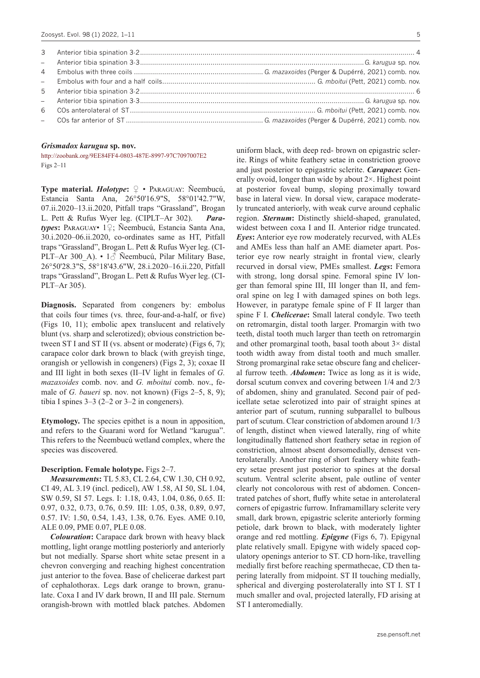#### *Grismadox karugua* **sp. nov.**

<http://zoobank.org/9EE84FF4-0803-487E-8997-97C7097007E2> Figs 2–11

**Type material.** *Holotype***:** ♀ • Paraguay: Ñeembucú, Estancia Santa Ana, 26°50'16.9"S, 58°01'42.7"W, 07.ii.2020–13.ii.2020, Pitfall traps "Grassland", Brogan L. Pett & Rufus Wyer leg. (CIPLT–Ar 302). *Paratypes***:** Paraguay• 1♀; Ñeembucú, Estancia Santa Ana, 30.i.2020–06.ii.2020, co-ordinates same as HT, Pitfall traps "Grassland", Brogan L. Pett & Rufus Wyer leg. (CI-PLT–Ar 300 A). •  $1\textdegree$  Ñeembucú, Pilar Military Base, 26°50'28.3"S, 58°18'43.6"W, 28.i.2020–16.ii.220, Pitfall traps "Grassland", Brogan L. Pett & Rufus Wyer leg. (CI-PLT–Ar 305).

**Diagnosis.** Separated from congeners by: embolus that coils four times (vs. three, four-and-a-half, or five) (Figs 10, 11); embolic apex translucent and relatively blunt (vs. sharp and sclerotized); obvious constriction between ST I and ST II (vs. absent or moderate) (Figs 6, 7); carapace color dark brown to black (with greyish tinge, orangish or yellowish in congeners) (Figs 2, 3); coxae II and III light in both sexes (II–IV light in females of *G. mazaxoides* comb. nov. and *G. mboitui* comb. nov., female of *G. baueri* sp. nov. not known) (Figs 2–5, 8, 9); tibia I spines 3–3 (2–2 or 3–2 in congeners).

**Etymology.** The species epithet is a noun in apposition, and refers to the Guarani word for Wetland "karugua". This refers to the Ñeembucú wetland complex, where the species was discovered.

#### **Description. Female holotype.** Figs 2–7.

*Measurements***:** TL 5.83, CL 2.64, CW 1.30, CH 0.92, CI 49, AL 3.19 (incl. pedicel), AW 1.58, AI 50, SL 1.04, SW 0.59, SI 57. Legs. I: 1.18, 0.43, 1.04, 0.86, 0.65. II: 0.97, 0.32, 0.73, 0.76, 0.59. III: 1.05, 0.38, 0.89, 0.97, 0.57. IV: 1.50, 0.54, 1.43, 1.38, 0.76. Eyes. AME 0.10, ALE 0.09, PME 0.07, PLE 0.08.

*Colouration***:** Carapace dark brown with heavy black mottling, light orange mottling posteriorly and anteriorly but not medially. Sparse short white setae present in a chevron converging and reaching highest concentration just anterior to the fovea. Base of chelicerae darkest part of cephalothorax. Legs dark orange to brown, granulate. Coxa I and IV dark brown, II and III pale. Sternum orangish-brown with mottled black patches. Abdomen

5

uniform black, with deep red- brown on epigastric sclerite. Rings of white feathery setae in constriction groove and just posterior to epigastric sclerite. *Carapace***:** Generally ovoid, longer than wide by about 2×. Highest point at posterior foveal bump, sloping proximally toward base in lateral view. In dorsal view, carapace moderately truncated anteriorly, with weak curve around cephalic region. *Sternum***:** Distinctly shield-shaped, granulated, widest between coxa I and II. Anterior ridge truncated. *Eyes***:** Anterior eye row moderately recurved, with ALEs and AMEs less than half an AME diameter apart. Posterior eye row nearly straight in frontal view, clearly recurved in dorsal view, PMEs smallest. *Legs***:** Femora with strong, long dorsal spine. Femoral spine IV longer than femoral spine III, III longer than II, and femoral spine on leg I with damaged spines on both legs. However, in paratype female spine of F II larger than spine F I. *Chelicerae***:** Small lateral condyle. Two teeth on retromargin, distal tooth larger. Promargin with two teeth, distal tooth much larger than teeth on retromargin and other promarginal tooth, basal tooth about  $3 \times$  distal tooth width away from distal tooth and much smaller. Strong promarginal rake setae obscure fang and cheliceral furrow teeth. *Abdomen***:** Twice as long as it is wide, dorsal scutum convex and covering between 1/4 and 2/3 of abdomen, shiny and granulated. Second pair of pedicellate setae sclerotized into pair of straight spines at anterior part of scutum, running subparallel to bulbous part of scutum. Clear constriction of abdomen around 1/3 of length, distinct when viewed laterally, ring of white longitudinally flattened short feathery setae in region of constriction, almost absent dorsomedially, densest venterolaterally. Another ring of short feathery white feathery setae present just posterior to spines at the dorsal scutum. Ventral sclerite absent, pale outline of venter clearly not concolorous with rest of abdomen. Concentrated patches of short, fluffy white setae in anterolateral corners of epigastric furrow. Inframamillary sclerite very small, dark brown, epigastric sclerite anteriorly forming petiole, dark brown to black, with moderately lighter orange and red mottling. *Epigyne* (Figs 6, 7). Epigynal plate relatively small. Epigyne with widely spaced copulatory openings anterior to ST. CD horn-like, travelling medially first before reaching spermathecae, CD then tapering laterally from midpoint. ST II touching medially, spherical and diverging posterolaterally into ST I. ST I much smaller and oval, projected laterally, FD arising at ST I anteromedially.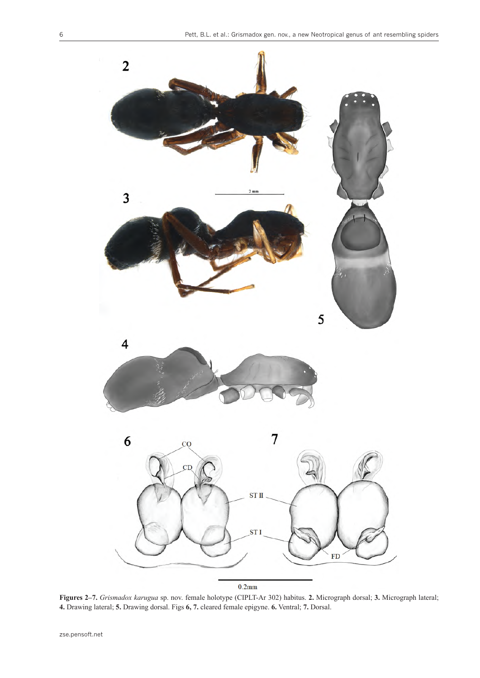

 $0.2$ mm

**Figures 2–7.** *Grismadox karugua* sp. nov. female holotype (CIPLT-Ar 302) habitus. **2.** Micrograph dorsal; **3.** Micrograph lateral; **4.** Drawing lateral; **5.** Drawing dorsal. Figs **6, 7.** cleared female epigyne. **6.** Ventral; **7.** Dorsal.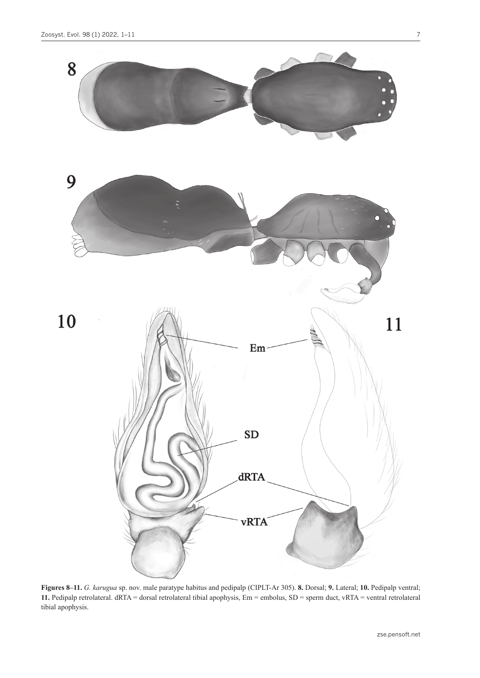7



**Figures 8–11.** *G. karugua* sp. nov. male paratype habitus and pedipalp (CIPLT-Ar 305). **8.** Dorsal; **9.** Lateral; **10.** Pedipalp ventral; **11.** Pedipalp retrolateral. dRTA = dorsal retrolateral tibial apophysis, Em = embolus, SD = sperm duct, vRTA = ventral retrolateral tibial apophysis.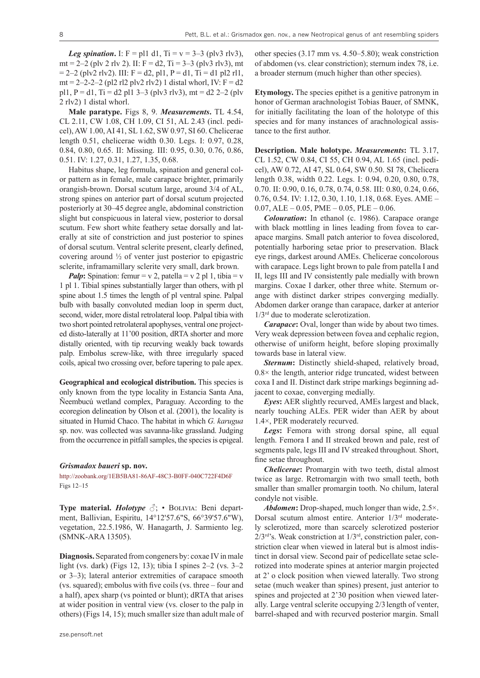*Leg spination*. I:  $F = p11 d1$ ,  $Ti = v = 3-3 (p/v3 r/v3)$ , mt = 2–2 (plv 2 rlv 2). II:  $F = d2$ , Ti = 3–3 (plv3 rlv3), mt  $= 2-2$  (plv2 rlv2). III: F = d2, pl1, P = d1, Ti = d1 pl2 rl1, mt = 2–2-2–2 (pl2 rl2 plv2 rlv2) 1 distal whorl, IV:  $F = d2$ pl1,  $P = d1$ ,  $Ti = d2$  pl1 3–3 (plv3 rlv3), mt = d2 2–2 (plv 2 rlv2) 1 distal whorl.

**Male paratype.** Figs 8, 9. *Measurements***.** TL 4.54, CL 2.11, CW 1.08, CH 1.09, CI 51, AL 2.43 (incl. pedicel), AW 1.00, AI 41, SL 1.62, SW 0.97, SI 60. Chelicerae length 0.51, chelicerae width 0.30. Legs. I: 0.97, 0.28, 0.84, 0.80, 0.65. II: Missing. III: 0.95, 0.30, 0.76, 0.86, 0.51. IV: 1.27, 0.31, 1.27, 1.35, 0.68.

Habitus shape, leg formula, spination and general color pattern as in female, male carapace brighter, primarily orangish-brown. Dorsal scutum large, around 3/4 of AL, strong spines on anterior part of dorsal scutum projected posteriorly at 30–45 degree angle, abdominal constriction slight but conspicuous in lateral view, posterior to dorsal scutum. Few short white feathery setae dorsally and laterally at site of constriction and just posterior to spines of dorsal scutum. Ventral sclerite present, clearly defined, covering around ½ of venter just posterior to epigastric sclerite, inframamillary sclerite very small, dark brown.

*Palp*: Spination: femur = v 2, patella = v 2 pl 1, tibia = v 1 pl 1. Tibial spines substantially larger than others, with pl spine about 1.5 times the length of pl ventral spine. Palpal bulb with basally convoluted median loop in sperm duct, second, wider, more distal retrolateral loop. Palpal tibia with two short pointed retrolateral apophyses, ventral one projected disto-laterally at 11'00 position, dRTA shorter and more distally oriented, with tip recurving weakly back towards palp. Embolus screw-like, with three irregularly spaced coils, apical two crossing over, before tapering to pale apex.

**Geographical and ecological distribution.** This species is only known from the type locality in Estancia Santa Ana, Ñeembucú wetland complex, Paraguay. According to the ecoregion delineation by Olson et al. (2001), the locality is situated in Humid Chaco. The habitat in which *G. karugua* sp. nov. was collected was savanna-like grassland. Judging from the occurrence in pitfall samples, the species is epigeal.

#### *Grismadox baueri* **sp. nov.**

<http://zoobank.org/1EB5BA81-86AF-48C3-B0FF-040C722F4D6F> Figs 12–15

**Type material.** *Holotype* ♂; • BOLIVIA: Beni department, Ballivian, Espiritu, 14°12'57.6"S, 66°39'57.6"W), vegetation, 22.5.1986, W. Hanagarth, J. Sarmiento leg. (SMNK-ARA 13505).

**Diagnosis.** Separated from congeners by: coxae IV in male light (vs. dark) (Figs 12, 13); tibia I spines 2–2 (vs. 3–2 or 3–3); lateral anterior extremities of carapace smooth (vs. squared); embolus with five coils (vs. three – four and a half), apex sharp (vs pointed or blunt); dRTA that arises at wider position in ventral view (vs. closer to the palp in others) (Figs 14, 15); much smaller size than adult male of other species (3.17 mm vs. 4.50–5.80); weak constriction of abdomen (vs. clear constriction); sternum index 78, i.e. a broader sternum (much higher than other species).

**Etymology.** The species epithet is a genitive patronym in honor of German arachnologist Tobias Bauer, of SMNK, for initially facilitating the loan of the holotype of this species and for many instances of arachnological assistance to the first author.

**Description. Male holotype.** *Measurements***:** TL 3.17, CL 1.52, CW 0.84, CI 55, CH 0.94, AL 1.65 (incl. pedicel), AW 0.72, AI 47, SL 0.64, SW 0.50. SI 78, Chelicera length 0.38, width 0.22. Legs. I: 0.94, 0.20, 0.80, 0.78, 0.70. II: 0.90, 0.16, 0.78, 0.74, 0.58. III: 0.80, 0.24, 0.66, 0.76, 0.54. IV: 1.12, 0.30, 1.10, 1.18, 0.68. Eyes. AME –  $0.07,$  ALE  $-0.05,$  PME  $-0.05,$  PLE  $-0.06$ .

*Colouration***:** In ethanol (c. 1986). Carapace orange with black mottling in lines leading from fovea to carapace margins. Small patch anterior to fovea discolored, potentially harboring setae prior to preservation. Black eye rings, darkest around AMEs. Chelicerae concolorous with carapace. Legs light brown to pale from patella I and II, legs III and IV consistently pale medially with brown margins. Coxae I darker, other three white. Sternum orange with distinct darker stripes converging medially. Abdomen darker orange than carapace, darker at anterior  $1/3<sup>rd</sup>$  due to moderate sclerotization.

*Carapace***:** Oval, longer than wide by about two times. Very weak depression between fovea and cephalic region, otherwise of uniform height, before sloping proximally towards base in lateral view.

*Sternum***:** Distinctly shield-shaped, relatively broad, 0.8× the length, anterior ridge truncated, widest between coxa I and II. Distinct dark stripe markings beginning adjacent to coxae, converging medially.

*Eyes***:** AER slightly recurved, AMEs largest and black, nearly touching ALEs. PER wider than AER by about 1.4×, PER moderately recurved.

*Legs***:** Femora with strong dorsal spine, all equal length. Femora I and II streaked brown and pale, rest of segments pale, legs III and IV streaked throughout*.* Short, fine setae throughout.

*Chelicerae***:** Promargin with two teeth, distal almost twice as large. Retromargin with two small teeth, both smaller than smaller promargin tooth. No chilum, lateral condyle not visible.

*Abdomen***:** Drop-shaped, much longer than wide, 2.5×. Dorsal scutum almost entire. Anterior 1/3rd moderately sclerotized, more than scarcely sclerotized posterior  $2/3$ <sup>rd</sup>'s. Weak constriction at  $1/3$ <sup>rd</sup>, constriction paler, constriction clear when viewed in lateral but is almost indistinct in dorsal view. Second pair of pedicellate setae sclerotized into moderate spines at anterior margin projected at 2' o clock position when viewed laterally. Two strong setae (much weaker than spines) present, just anterior to spines and projected at 2'30 position when viewed laterally. Large ventral sclerite occupying 2/3 length of venter, barrel-shaped and with recurved posterior margin. Small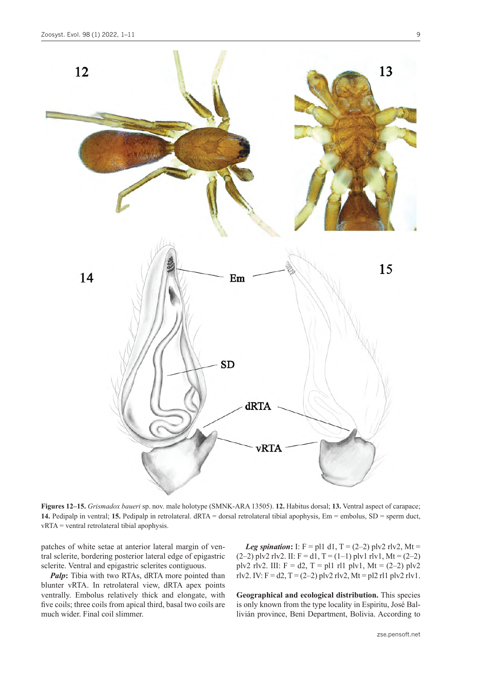

**Figures 12–15.** *Grismadox baueri* sp. nov. male holotype (SMNK-ARA 13505). **12.** Habitus dorsal; **13.** Ventral aspect of carapace; **14.** Pedipalp in ventral; **15.** Pedipalp in retrolateral. dRTA = dorsal retrolateral tibial apophysis, Em = embolus, SD = sperm duct, vRTA = ventral retrolateral tibial apophysis.

patches of white setae at anterior lateral margin of ventral sclerite, bordering posterior lateral edge of epigastric sclerite. Ventral and epigastric sclerites contiguous.

*Palp*: Tibia with two RTAs, dRTA more pointed than blunter vRTA. In retrolateral view, dRTA apex points ventrally. Embolus relatively thick and elongate, with five coils; three coils from apical third, basal two coils are much wider. Final coil slimmer.

*Leg spination*: I:  $F = p11 d1, T = (2-2) p1v2 r1v2, Mt =$  $(2-2)$  plv2 rlv2. II: F = d1, T = (1-1) plv1 rlv1, Mt = (2-2) plv2 rlv2. III:  $F = d2$ ,  $T = pl1$  rl1 plv1, Mt = (2–2) plv2 rlv2. IV: F = d2, T = (2–2) plv2 rlv2, Mt = pl2 rl1 plv2 rlv1.

**Geographical and ecological distribution.** This species is only known from the type locality in Espiritu, José Ballivián province, Beni Department, Bolivia. According to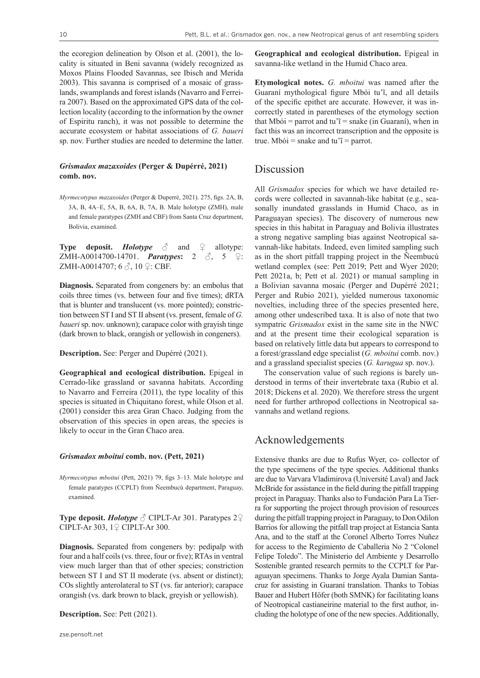the ecoregion delineation by Olson et al. (2001), the locality is situated in Beni savanna (widely recognized as Moxos Plains Flooded Savannas, see Ibisch and Merida 2003). This savanna is comprised of a mosaic of grasslands, swamplands and forest islands (Navarro and Ferreira 2007). Based on the approximated GPS data of the collection locality (according to the information by the owner of Espiritu ranch), it was not possible to determine the accurate ecosystem or habitat associations of *G. baueri* sp. nov. Further studies are needed to determine the latter.

#### *Grismadox mazaxoides* **(Perger & Dupérré, 2021) comb. nov.**

*Myrmecotypus mazaxoides* (Perger & Duperré, 2021). 275, figs. 2A, B, 3A, B, 4A–E, 5A, B, 6A, B, 7A, B. Male holotype (ZMH), male and female paratypes (ZMH and CBF) from Santa Cruz department, Bolivia, examined.

**Type deposit.** *Holotype*  $\delta$  and  $\Omega$  allotype: ZMH-A0014700-14701. *Paratypes***:** 2 ♂, 5 ♀: ZMH-A0014707; 6  $\Diamond$ , 10  $\Diamond$ : CBF.

**Diagnosis.** Separated from congeners by: an embolus that coils three times (vs. between four and five times); dRTA that is blunter and translucent (vs. more pointed); constriction between ST I and ST II absent (vs. present, female of *G. baueri* sp. nov. unknown); carapace color with grayish tinge (dark brown to black, orangish or yellowish in congeners).

**Description.** See: Perger and Dupérré (2021).

**Geographical and ecological distribution.** Epigeal in Cerrado-like grassland or savanna habitats. According to Navarro and Ferreira (2011), the type locality of this species is situated in Chiquitano forest, while Olson et al. (2001) consider this area Gran Chaco. Judging from the observation of this species in open areas, the species is likely to occur in the Gran Chaco area.

#### *Grismadox mboitui* **comb. nov. (Pett, 2021)**

*Myrmecotypus mboitui* (Pett, 2021) 79, figs 3–13. Male holotype and female paratypes (CCPLT) from Ñeembucú department, Paraguay, examined.

**Type deposit.** *Holotype* ♂ CIPLT-Ar 301. Paratypes 2♀ CIPLT-Ar 303, 1♀ CIPLT-Ar 300.

**Diagnosis.** Separated from congeners by: pedipalp with four and a half coils (vs. three, four or five); RTAs in ventral view much larger than that of other species; constriction between ST I and ST II moderate (vs. absent or distinct); COs slightly anterolateral to ST (vs. far anterior); carapace orangish (vs. dark brown to black, greyish or yellowish).

**Description.** See: Pett (2021).

**Geographical and ecological distribution.** Epigeal in savanna-like wetland in the Humid Chaco area.

**Etymological notes.** *G. mboitui* was named after the Guaraní mythological figure Mbói tu'ĩ, and all details of the specific epithet are accurate. However, it was incorrectly stated in parentheses of the etymology section that Mbói = parrot and tu'i = snake (in Guaraní), when in fact this was an incorrect transcription and the opposite is true. Mbói = snake and tu' $i$  = parrot.

### Discussion

All *Grismadox* species for which we have detailed records were collected in savannah-like habitat (e.g., seasonally inundated grasslands in Humid Chaco, as in Paraguayan species). The discovery of numerous new species in this habitat in Paraguay and Bolivia illustrates a strong negative sampling bias against Neotropical savannah-like habitats. Indeed, even limited sampling such as in the short pitfall trapping project in the Ñeembucú wetland complex (see: Pett 2019; Pett and Wyer 2020; Pett 2021a, b; Pett et al. 2021) or manual sampling in a Bolivian savanna mosaic (Perger and Dupérré 2021; Perger and Rubio 2021), yielded numerous taxonomic novelties, including three of the species presented here, among other undescribed taxa. It is also of note that two sympatric *Grismadox* exist in the same site in the NWC and at the present time their ecological separation is based on relatively little data but appears to correspond to a forest/grassland edge specialist (*G. mboitui* comb. nov.) and a grassland specialist species (*G. karugua* sp. nov.).

The conservation value of such regions is barely understood in terms of their invertebrate taxa (Rubio et al. 2018; Dickens et al. 2020). We therefore stress the urgent need for further arthropod collections in Neotropical savannahs and wetland regions.

### Acknowledgements

Extensive thanks are due to Rufus Wyer, co- collector of the type specimens of the type species. Additional thanks are due to Varvara Vladimirova (Université Laval) and Jack McBride for assistance in the field during the pitfall trapping project in Paraguay. Thanks also to Fundación Para La Tierra for supporting the project through provision of resources during the pitfall trapping project in Paraguay, to Don Odilon Barrios for allowing the pitfall trap project at Estancia Santa Ana, and to the staff at the Coronel Alberto Torres Nuñez for access to the Regimiento de Caballeria No 2 "Colonel Felipe Toledo". The Ministerio del Ambiente y Desarrollo Sostenible granted research permits to the CCPLT for Paraguayan specimens. Thanks to Jorge Ayala Damian Santacruz for assisting in Guaraní translation. Thanks to Tobias Bauer and Hubert Höfer (both SMNK) for facilitating loans of Neotropical castianeirine material to the first author, including the holotype of one of the new species. Additionally,